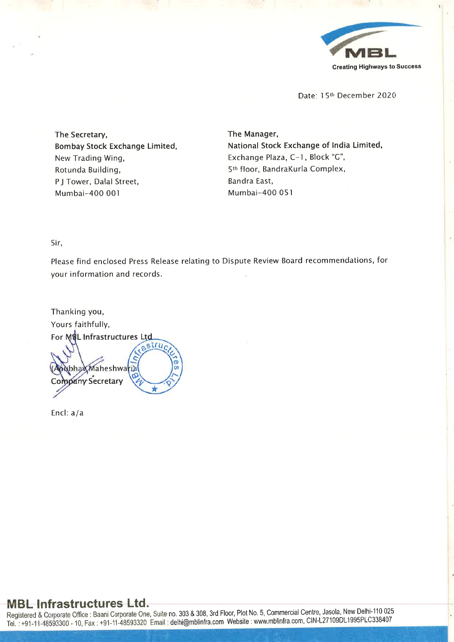

Date: 15th December 2020

The Secretary, Bombay Stock Exchange Limited, New Trading Wing, Rotunda Building, P J Tower, Dalal Street, Mumbai-400 001

The Manager, National Stock Exchange of India Limited, Exchange Plaza, C-1, Block "G", 5th floor, BandraKurla Complex, Bandra East, Mumbai-400 051

Sir,

Please find enclosed Press Release relating to Dispute Review Board recommendations, for your information and records.

Thanking you, Yours faithfully, For MSL Infrastructures Ltd struc bhaXMaheshwari) **Company Secretary** 

Encl: a/a

# MBL Infrastructures Ltd.

Registered & Corporate Office: Baani Corporate One, Suite no. 303 & 308, 3rd Floor, Plot No. 5, Commercial Centre, Jasola, New Delhi-110 025 Tel.: +91-11-48593300 -10, Fax: +91-11-48593320 Email: delhi@mblinfra.comWebsite: www.mblinfra.com,CIN-L27109DL'1995PLC338407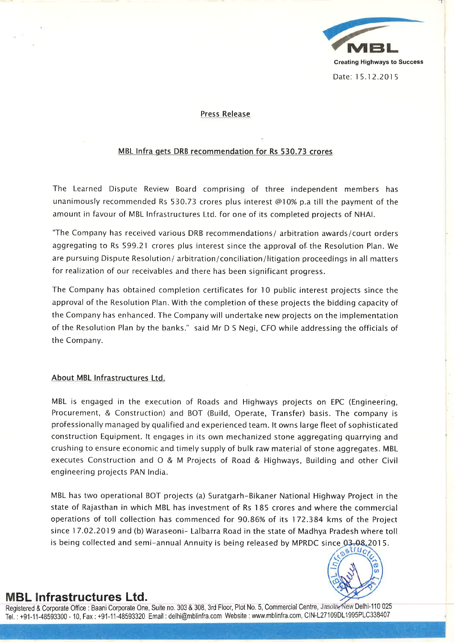

#### Press Release

#### MBL Infra gets DRB recommendation for Rs 530.73 crores

The Learned Dispute Review Board comprising of three independent members has unanimously recommended Rs 530.73 crores plus interest @10% p.a till the payment of the amount in favour of MBL Infrastructures Ltd. for one of its completed projects of NHAI.

'The Company has received various DRB recommendations/ arbitration awards/court orders aggregating to Rs 599.21 crores plus interest since the approval of the Resolution Plan. We are pursuing Dispute Resolution/ arbitration/conciliation/litigation proceedings in all matters for realization of our receivables and there has been significant progress.

The Company has obtained completion certificates for <sup>10</sup> public interest projects since the approva<sup>l</sup> of the Resolution Plan. With the completion of these projects the bidding capacity of the Company has enhanced. The Company will undertake new projects on the implementation of the Resolution Plan by the banks." said Mr <sup>D</sup> <sup>S</sup> Negi, CFO while addressing the officials of the Company.

#### About MBL Infrastructures Ltd.

MBL is engage<sup>d</sup> in the execution of Roads and Highways projects on EPC (Engineering, Procurement, & Construction) and BOT (Build, Operate, Transfer) basis. The company is professionally manage<sup>d</sup> by qualified and experienced team. It owns large fleet of sophisticated construction Equipment. It engages in its own mechanized stone aggregating quarrying and crushing to ensure economic and timely supply of bulk raw material of stone aggregates. MBL executes Construction and <sup>O</sup> & <sup>M</sup> Projects of Road & Highways, Building and other Civil engineering projects PAN India.

MBL has two operational BOT projects (a) Suratgarh-Bikaner National Highway Project in the state of Rajasthan in which MBL has investment of Rs <sup>185</sup> crores and where the commercial operations of toll collection has commenced for 90.86% of its 172.384 kms of the Project since 17.02.2019 and (b) Waraseoni- Lalbarra Road in the state of Madhya Pradesh where toll is being collected and semi-annual Annuity is being released by MPRDC since  $03.08.2015$ .



## MBL Infrastructures Ltd.

Registered & Corporate Office : Baani Corporate One, Suite no. 303 & 308, 3rd Floor, Plot No. 5, Commercial Centre, Jasola, New Delhi-110 025 Tel.: +91-11-48593300-10, Fax: +91-11-48593320 Email: delhi@mblinfra.comWebsite: www.mblinfra.com,CIN-L27109DL'l995PLC338407